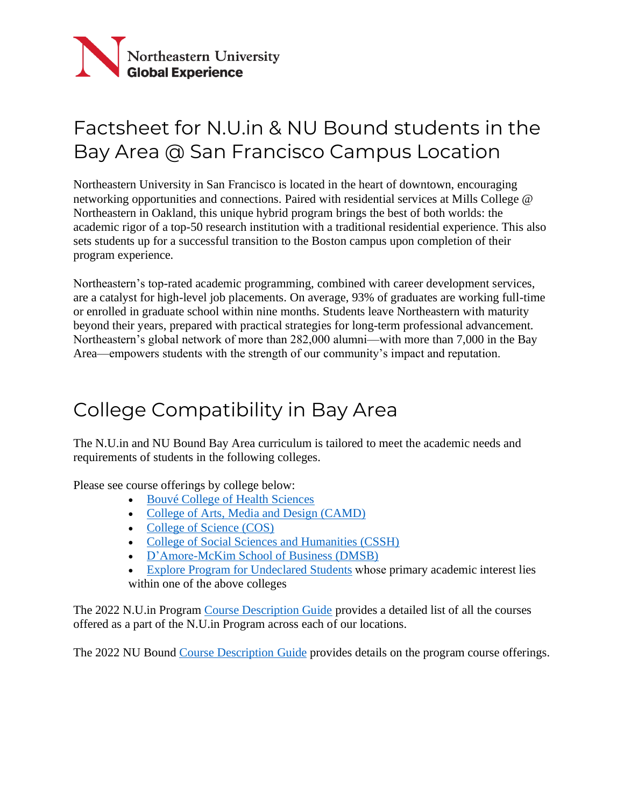

# Factsheet for N.U.in & NU Bound students in the Bay Area @ San Francisco Campus Location

Northeastern University in San Francisco is located in the heart of downtown, encouraging networking opportunities and connections. Paired with residential services at Mills College @ Northeastern in Oakland, this unique hybrid program brings the best of both worlds: the academic rigor of a top-50 research institution with a traditional residential experience. This also sets students up for a successful transition to the Boston campus upon completion of their program experience.

Northeastern's top-rated academic programming, combined with career development services, are a catalyst for high-level job placements. On average, 93% of graduates are working full-time or enrolled in graduate school within nine months. Students leave Northeastern with maturity beyond their years, prepared with practical strategies for long-term professional advancement. Northeastern's global network of more than 282,000 alumni—with more than 7,000 in the Bay Area—empowers students with the strength of our community's impact and reputation.

### College Compatibility in Bay Area

The N.U.in and NU Bound Bay Area curriculum is tailored to meet the academic needs and requirements of students in the following colleges.

Please see course offerings by college below:

- [Bouvé College of Health Sciences](https://nuin.northeastern.edu/wp-content/uploads/FA22_-Mills_-Bouve_-5.31.22-BEL.pdf)
- [College of Arts, Media and Design \(CAMD\)](https://nuin.northeastern.edu/wp-content/uploads/FA22_-Mills_-CAMD_-5.31.22-BEL.pdf)
- [College of Science \(COS\)](https://nuin.northeastern.edu/wp-content/uploads/FA22-Mills-COS-5.31.22-BEL.pdf)
- [College of Social Sciences and Humanities \(CSSH\)](https://nuin.northeastern.edu/wp-content/uploads/FA22_-Mills_-CSSH_-5.31.22-BEL.pdf)
- [D'Amore-McKim School of Business \(DMSB\)](https://nuin.northeastern.edu/wp-content/uploads/FA22_Mills_-DMSB_-5.31.22-BEL.pdf)
- [Explore Program for Undeclared Students](https://nuin.northeastern.edu/wp-content/uploads/FA22_Mills_-Explore_-5.31.22-BEL.pdf)whose primary academic interest lies within one of the above colleges

The 2022 N.U.in Program [Course Description Guide](https://nuin.northeastern.edu/wp-content/uploads/2022-NUin-Course-Description-Guide_-5.31.22.pdf) provides a detailed list of all the courses offered as a part of the N.U.in Program across each of our locations.

The 2022 NU Bound [Course Description Guide](https://kespl3mizc41as11p1lc6zq9-wpengine.netdna-ssl.com/wp-content/uploads/2022/04/FA22-NU-Bound-Course-Description-Guide.pdf) provides details on the program course offerings.